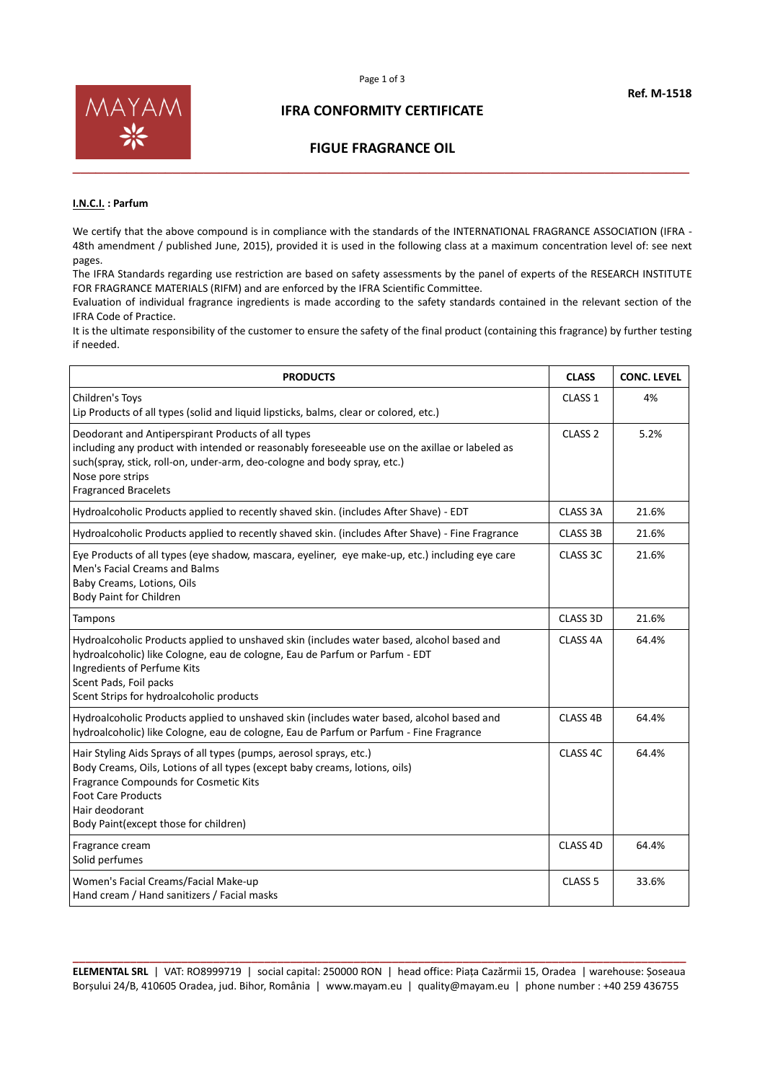

#### **IFRA CONFORMITY CERTIFICATE**

#### **FIGUE FRAGRANCE OIL**

#### **I.N.C.I. : Parfum**

We certify that the above compound is in compliance with the standards of the INTERNATIONAL FRAGRANCE ASSOCIATION (IFRA -48th amendment / published June, 2015), provided it is used in the following class at a maximum concentration level of: see next pages.

The IFRA Standards regarding use restriction are based on safety assessments by the panel of experts of the RESEARCH INSTITUTE FOR FRAGRANCE MATERIALS (RIFM) and are enforced by the IFRA Scientific Committee.

Evaluation of individual fragrance ingredients is made according to the safety standards contained in the relevant section of the IFRA Code of Practice.

It is the ultimate responsibility of the customer to ensure the safety of the final product (containing this fragrance) by further testing if needed.

| <b>PRODUCTS</b>                                                                                                                                                                                                                                                                      | <b>CLASS</b>        | <b>CONC. LEVEL</b> |
|--------------------------------------------------------------------------------------------------------------------------------------------------------------------------------------------------------------------------------------------------------------------------------------|---------------------|--------------------|
| Children's Toys<br>Lip Products of all types (solid and liquid lipsticks, balms, clear or colored, etc.)                                                                                                                                                                             | CLASS <sub>1</sub>  | 4%                 |
| Deodorant and Antiperspirant Products of all types<br>including any product with intended or reasonably foreseeable use on the axillae or labeled as<br>such(spray, stick, roll-on, under-arm, deo-cologne and body spray, etc.)<br>Nose pore strips<br><b>Fragranced Bracelets</b>  | CLASS <sub>2</sub>  | 5.2%               |
| Hydroalcoholic Products applied to recently shaved skin. (includes After Shave) - EDT                                                                                                                                                                                                | <b>CLASS 3A</b>     | 21.6%              |
| Hydroalcoholic Products applied to recently shaved skin. (includes After Shave) - Fine Fragrance                                                                                                                                                                                     | <b>CLASS 3B</b>     | 21.6%              |
| Eye Products of all types (eye shadow, mascara, eyeliner, eye make-up, etc.) including eye care<br>Men's Facial Creams and Balms<br>Baby Creams, Lotions, Oils<br>Body Paint for Children                                                                                            | CLASS 3C            | 21.6%              |
| Tampons                                                                                                                                                                                                                                                                              | CLASS 3D            | 21.6%              |
| Hydroalcoholic Products applied to unshaved skin (includes water based, alcohol based and<br>hydroalcoholic) like Cologne, eau de cologne, Eau de Parfum or Parfum - EDT<br>Ingredients of Perfume Kits<br>Scent Pads, Foil packs<br>Scent Strips for hydroalcoholic products        | CLASS <sub>4A</sub> | 64.4%              |
| Hydroalcoholic Products applied to unshaved skin (includes water based, alcohol based and<br>hydroalcoholic) like Cologne, eau de cologne, Eau de Parfum or Parfum - Fine Fragrance                                                                                                  | CLASS <sub>4B</sub> | 64.4%              |
| Hair Styling Aids Sprays of all types (pumps, aerosol sprays, etc.)<br>Body Creams, Oils, Lotions of all types (except baby creams, lotions, oils)<br>Fragrance Compounds for Cosmetic Kits<br><b>Foot Care Products</b><br>Hair deodorant<br>Body Paint (except those for children) | CLASS <sub>4C</sub> | 64.4%              |
| Fragrance cream<br>Solid perfumes                                                                                                                                                                                                                                                    | CLASS 4D            | 64.4%              |
| Women's Facial Creams/Facial Make-up<br>Hand cream / Hand sanitizers / Facial masks                                                                                                                                                                                                  | CLASS <sub>5</sub>  | 33.6%              |

**\_\_\_\_\_\_\_\_\_\_\_\_\_\_\_\_\_\_\_\_\_\_\_\_\_\_\_\_\_\_\_\_\_\_\_\_\_\_\_\_\_\_\_\_\_\_\_\_\_\_\_\_\_\_\_\_\_\_\_\_\_\_\_\_\_\_\_\_\_\_\_\_\_\_\_\_\_\_\_\_\_\_\_\_\_\_\_\_\_\_\_\_\_\_\_\_ ELEMENTAL SRL** | VAT: RO8999719 | social capital: 250000 RON | head office: Piața Cazărmii 15, Oradea | warehouse: Șoseaua Borșului 24/B, 410605 Oradea, jud. Bihor, România | www.mayam.eu | quality@mayam.eu | phone number : +40 259 436755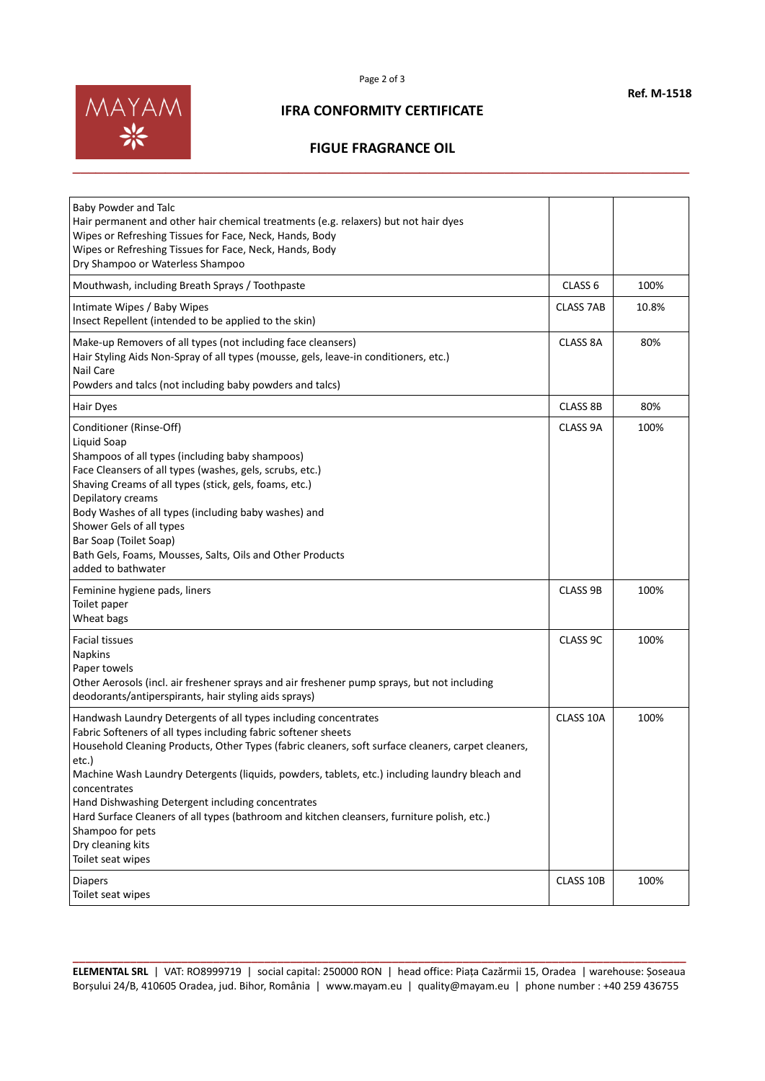

#### **IFRA CONFORMITY CERTIFICATE**

## **FIGUE FRAGRANCE OIL**

| Baby Powder and Talc<br>Hair permanent and other hair chemical treatments (e.g. relaxers) but not hair dyes<br>Wipes or Refreshing Tissues for Face, Neck, Hands, Body<br>Wipes or Refreshing Tissues for Face, Neck, Hands, Body<br>Dry Shampoo or Waterless Shampoo                                                                                                                                                                                                                                                                                                                |                                         |                      |
|--------------------------------------------------------------------------------------------------------------------------------------------------------------------------------------------------------------------------------------------------------------------------------------------------------------------------------------------------------------------------------------------------------------------------------------------------------------------------------------------------------------------------------------------------------------------------------------|-----------------------------------------|----------------------|
| Mouthwash, including Breath Sprays / Toothpaste                                                                                                                                                                                                                                                                                                                                                                                                                                                                                                                                      | CLASS <sub>6</sub>                      | 100%                 |
| Intimate Wipes / Baby Wipes<br>Insect Repellent (intended to be applied to the skin)                                                                                                                                                                                                                                                                                                                                                                                                                                                                                                 | <b>CLASS 7AB</b>                        | 10.8%                |
| Make-up Removers of all types (not including face cleansers)<br>Hair Styling Aids Non-Spray of all types (mousse, gels, leave-in conditioners, etc.)<br>Nail Care<br>Powders and talcs (not including baby powders and talcs)                                                                                                                                                                                                                                                                                                                                                        | <b>CLASS 8A</b>                         | 80%                  |
| Hair Dyes                                                                                                                                                                                                                                                                                                                                                                                                                                                                                                                                                                            | <b>CLASS 8B</b>                         | 80%                  |
| Conditioner (Rinse-Off)<br>Liquid Soap<br>Shampoos of all types (including baby shampoos)<br>Face Cleansers of all types (washes, gels, scrubs, etc.)<br>Shaving Creams of all types (stick, gels, foams, etc.)<br>Depilatory creams<br>Body Washes of all types (including baby washes) and<br>Shower Gels of all types<br>Bar Soap (Toilet Soap)<br>Bath Gels, Foams, Mousses, Salts, Oils and Other Products<br>added to bathwater<br>Feminine hygiene pads, liners<br>Toilet paper<br>Wheat bags<br><b>Facial tissues</b><br><b>Napkins</b><br>Paper towels                      | CLASS 9A<br><b>CLASS 9B</b><br>CLASS 9C | 100%<br>100%<br>100% |
| Other Aerosols (incl. air freshener sprays and air freshener pump sprays, but not including<br>deodorants/antiperspirants, hair styling aids sprays)                                                                                                                                                                                                                                                                                                                                                                                                                                 |                                         |                      |
| Handwash Laundry Detergents of all types including concentrates<br>Fabric Softeners of all types including fabric softener sheets<br>Household Cleaning Products, Other Types (fabric cleaners, soft surface cleaners, carpet cleaners,<br>etc.)<br>Machine Wash Laundry Detergents (liquids, powders, tablets, etc.) including laundry bleach and<br>concentrates<br>Hand Dishwashing Detergent including concentrates<br>Hard Surface Cleaners of all types (bathroom and kitchen cleansers, furniture polish, etc.)<br>Shampoo for pets<br>Dry cleaning kits<br>Toilet seat wipes | CLASS 10A                               | 100%                 |
| <b>Diapers</b><br>Toilet seat wipes                                                                                                                                                                                                                                                                                                                                                                                                                                                                                                                                                  | CLASS 10B                               | 100%                 |

**\_\_\_\_\_\_\_\_\_\_\_\_\_\_\_\_\_\_\_\_\_\_\_\_\_\_\_\_\_\_\_\_\_\_\_\_\_\_\_\_\_\_\_\_\_\_\_\_\_\_\_\_\_\_\_\_\_\_\_\_\_\_\_\_\_\_\_\_\_\_\_\_\_\_\_\_\_\_\_\_\_\_\_\_\_\_\_\_\_\_\_\_\_\_\_\_ ELEMENTAL SRL** | VAT: RO8999719 | social capital: 250000 RON | head office: Piața Cazărmii 15, Oradea | warehouse: Șoseaua Borșului 24/B, 410605 Oradea, jud. Bihor, România | www.mayam.eu | quality@mayam.eu | phone number : +40 259 436755